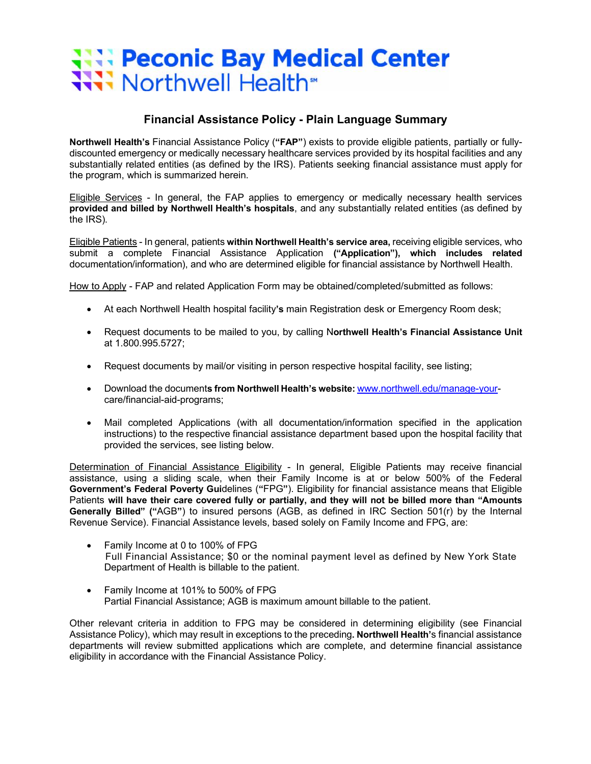# **We Peconic Bay Medical Center** Worthwell Health<sup>\*</sup>

## **Financial Assistance Policy - Plain Language Summary**

**Northwell Health's** Financial Assistance Policy (**"FAP"**) exists to provide eligible patients, partially or fullydiscounted emergency or medically necessary healthcare services provided by its hospital facilities and any substantially related entities (as defined by the IRS). Patients seeking financial assistance must apply for the program, which is summarized herein.

Eligible Services - In general, the FAP applies to emergency or medically necessary health services **provided and billed by Northwell Health's hospitals**, and any substantially related entities (as defined by the IRS).

Eligible Patients - In general, patients **within Northwell Health's service area,** receiving eligible services, who submit a complete Financial Assistance Application **("Application"), which includes related**  documentation/information), and who are determined eligible for financial assistance by Northwell Health.

How to Apply - FAP and related Application Form may be obtained/completed/submitted as follows:

- At each Northwell Health hospital facility**'s** main Registration desk or Emergency Room desk;
- Request documents to be mailed to you, by calling N**orthwell Health's Financial Assistance Unit** at 1.800.995.5727;
- Request documents by mail/or visiting in person respective hospital facility, see listing;
- Download the document**s from Northwell Health's website:** www.northwell.edu/manage-yourcare/financial-aid-programs;
- Mail completed Applications (with all documentation/information specified in the application instructions) to the respective financial assistance department based upon the hospital facility that provided the services, see listing below.

Determination of Financial Assistance Eligibility - In general, Eligible Patients may receive financial assistance, using a sliding scale, when their Family Income is at or below 500% of the Federal **Government's Federal Poverty Gui**delines (**"**FPG**"**). Eligibility for financial assistance means that Eligible Patients **will have their care covered fully or partially, and they will not be billed more than "Amounts Generally Billed" ("**AGB**"**) to insured persons (AGB, as defined in IRC Section 501(r) by the Internal Revenue Service). Financial Assistance levels, based solely on Family Income and FPG, are:

- Family Income at 0 to 100% of FPG Full Financial Assistance; \$0 or the nominal payment level as defined by New York State Department of Health is billable to the patient.
- Family Income at 101% to 500% of FPG Partial Financial Assistance; AGB is maximum amount billable to the patient.

Other relevant criteria in addition to FPG may be considered in determining eligibility (see Financial Assistance Policy), which may result in exceptions to the preceding**. Northwell Health'**s financial assistance departments will review submitted applications which are complete, and determine financial assistance eligibility in accordance with the Financial Assistance Policy.